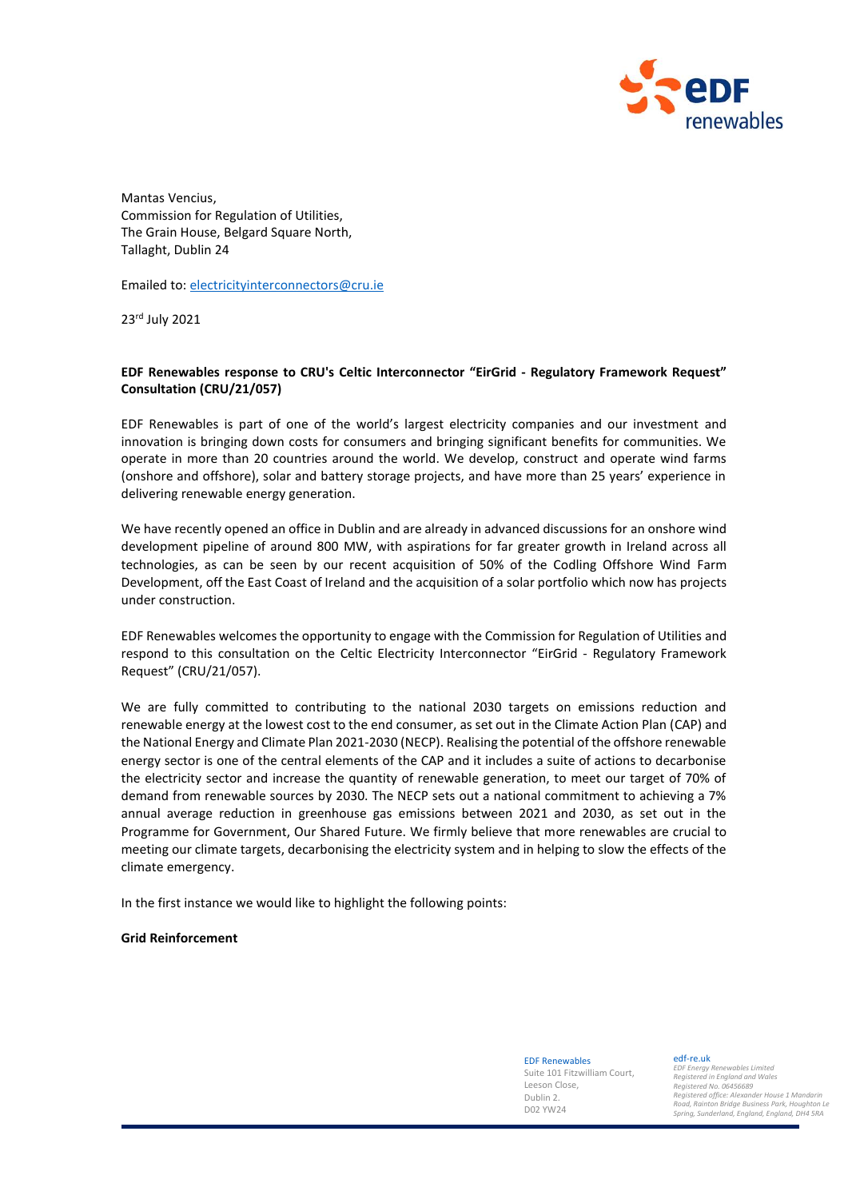

Mantas Vencius, Commission for Regulation of Utilities, The Grain House, Belgard Square North, Tallaght, Dublin 24

Emailed to[: electricityinterconnectors@cru.ie](mailto:electricityinterconnectors@cru.ie)

23rd July 2021

# **EDF Renewables response to CRU's Celtic Interconnector "EirGrid - Regulatory Framework Request" Consultation (CRU/21/057)**

EDF Renewables is part of one of the world's largest electricity companies and our investment and innovation is bringing down costs for consumers and bringing significant benefits for communities. We operate in more than 20 countries around the world. We develop, construct and operate wind farms (onshore and offshore), solar and battery storage projects, and have more than 25 years' experience in delivering renewable energy generation.

We have recently opened an office in Dublin and are already in advanced discussions for an onshore wind development pipeline of around 800 MW, with aspirations for far greater growth in Ireland across all technologies, as can be seen by our recent acquisition of 50% of the Codling Offshore Wind Farm Development, off the East Coast of Ireland and the acquisition of a solar portfolio which now has projects under construction.

EDF Renewables welcomes the opportunity to engage with the Commission for Regulation of Utilities and respond to this consultation on the Celtic Electricity Interconnector "EirGrid - Regulatory Framework Request" (CRU/21/057).

We are fully committed to contributing to the national 2030 targets on emissions reduction and renewable energy at the lowest cost to the end consumer, as set out in the Climate Action Plan (CAP) and the National Energy and Climate Plan 2021-2030 (NECP). Realising the potential of the offshore renewable energy sector is one of the central elements of the CAP and it includes a suite of actions to decarbonise the electricity sector and increase the quantity of renewable generation, to meet our target of 70% of demand from renewable sources by 2030. The NECP sets out a national commitment to achieving a 7% annual average reduction in greenhouse gas emissions between 2021 and 2030, as set out in the Programme for Government, Our Shared Future. We firmly believe that more renewables are crucial to meeting our climate targets, decarbonising the electricity system and in helping to slow the effects of the climate emergency.

In the first instance we would like to highlight the following points:

#### **Grid Reinforcement**

EDF Renewables Suite 101 Fitzwilliam Court, Leeson Close, Dublin 2.

DO2 YW24

edf-re.uk

*EDF Energy Renewables Limited Registered in England and Wales Registered No. 06456689 Registered office: Alexander House 1 Mandarin Road, Rainton Bridge Business Park, Houghton Le Spring, Sunderland, England, England, DH4 5RA*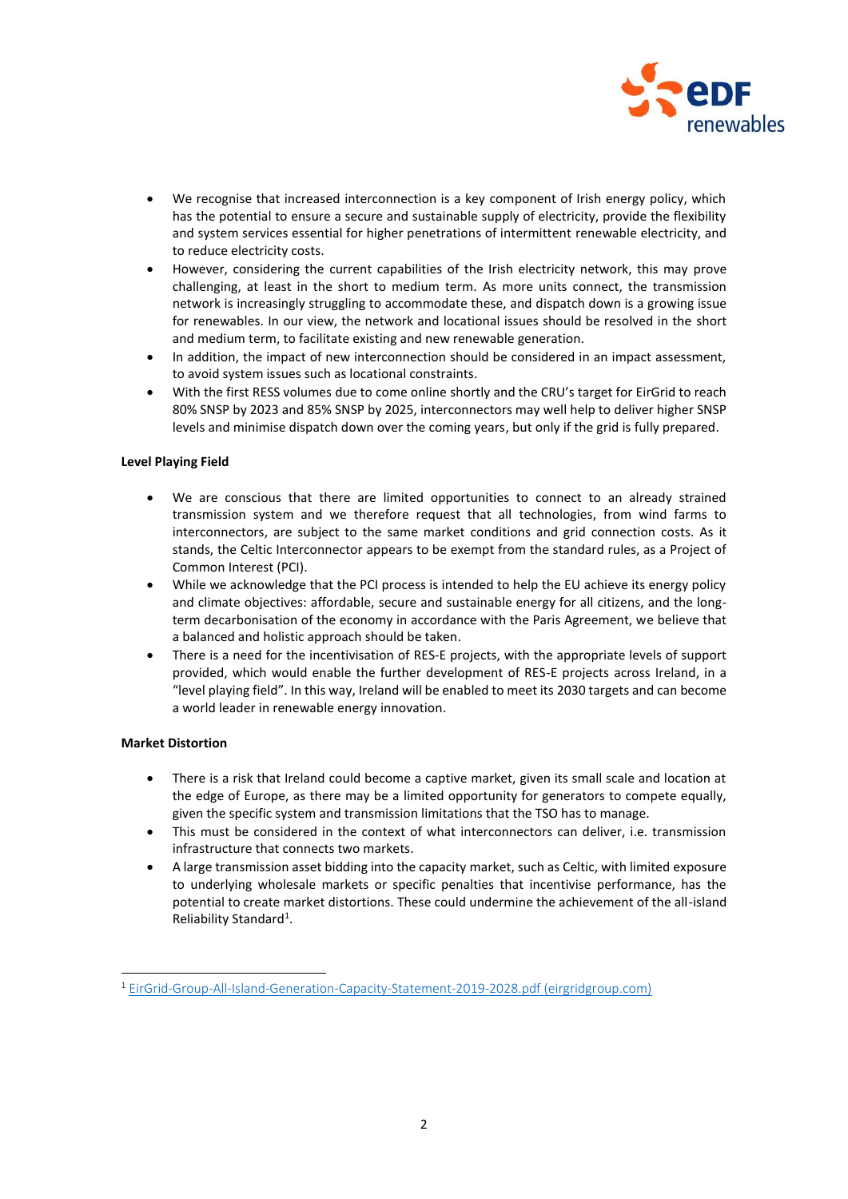

- We recognise that increased interconnection is a key component of Irish energy policy, which has the potential to ensure a secure and sustainable supply of electricity, provide the flexibility and system services essential for higher penetrations of intermittent renewable electricity, and to reduce electricity costs.
- However, considering the current capabilities of the Irish electricity network, this may prove challenging, at least in the short to medium term. As more units connect, the transmission network is increasingly struggling to accommodate these, and dispatch down is a growing issue for renewables. In our view, the network and locational issues should be resolved in the short and medium term, to facilitate existing and new renewable generation.
- In addition, the impact of new interconnection should be considered in an impact assessment, to avoid system issues such as locational constraints.
- With the first RESS volumes due to come online shortly and the CRU's target for EirGrid to reach 80% SNSP by 2023 and 85% SNSP by 2025, interconnectors may well help to deliver higher SNSP levels and minimise dispatch down over the coming years, but only if the grid is fully prepared.

## **Level Playing Field**

- We are conscious that there are limited opportunities to connect to an already strained transmission system and we therefore request that all technologies, from wind farms to interconnectors, are subject to the same market conditions and grid connection costs. As it stands, the Celtic Interconnector appears to be exempt from the standard rules, as a Project of Common Interest (PCI).
- While we acknowledge that the PCI process is intended to help the EU achieve its energy policy and climate objectives: affordable, secure and sustainable energy for all citizens, and the longterm decarbonisation of the economy in accordance with the Paris Agreement, we believe that a balanced and holistic approach should be taken.
- There is a need for the incentivisation of RES-E projects, with the appropriate levels of support provided, which would enable the further development of RES-E projects across Ireland, in a "level playing field". In this way, Ireland will be enabled to meet its 2030 targets and can become a world leader in renewable energy innovation.

## **Market Distortion**

- There is a risk that Ireland could become a captive market, given its small scale and location at the edge of Europe, as there may be a limited opportunity for generators to compete equally, given the specific system and transmission limitations that the TSO has to manage.
- This must be considered in the context of what interconnectors can deliver, i.e. transmission infrastructure that connects two markets.
- A large transmission asset bidding into the capacity market, such as Celtic, with limited exposure to underlying wholesale markets or specific penalties that incentivise performance, has the potential to create market distortions. These could undermine the achievement of the all-island Reliability Standard<sup>1</sup>.

<sup>&</sup>lt;sup>1</sup> [EirGrid-Group-All-Island-Generation-Capacity-Statement-2019-2028.pdf \(eirgridgroup.com\)](http://www.eirgridgroup.com/site-files/library/EirGrid/EirGrid-Group-All-Island-Generation-Capacity-Statement-2019-2028.pdf)